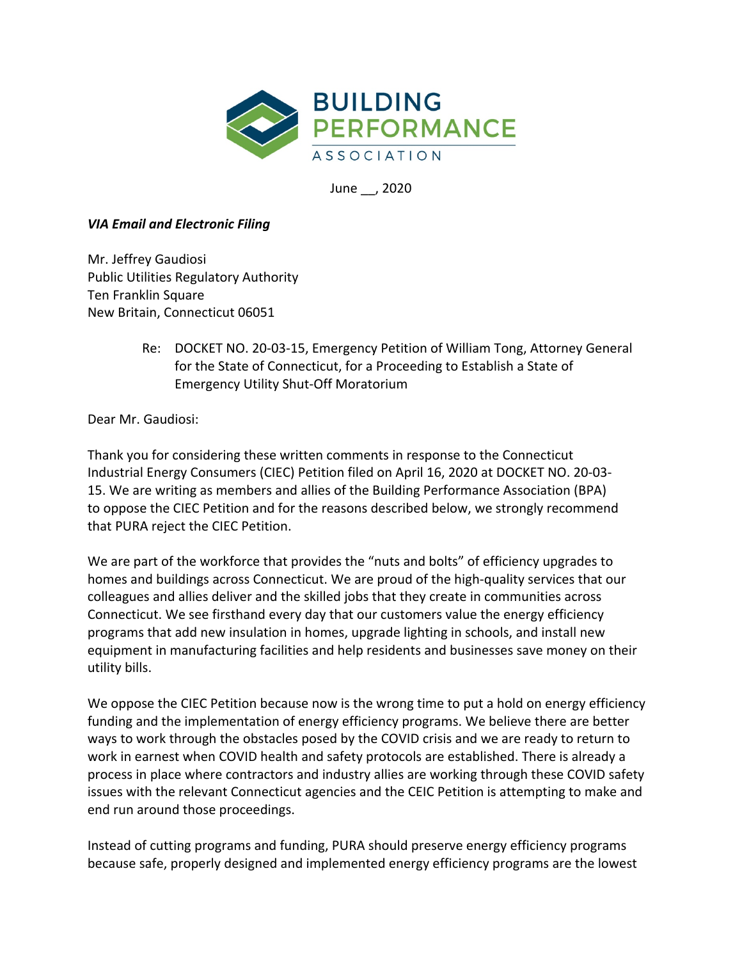

June \_\_, 2020

## *VIA Email and Electronic Filing*

Mr. Jeffrey Gaudiosi Public Utilities Regulatory Authority Ten Franklin Square New Britain, Connecticut 06051

> Re: DOCKET NO. 20-03-15, Emergency Petition of William Tong, Attorney General for the State of Connecticut, for a Proceeding to Establish a State of Emergency Utility Shut-Off Moratorium

Dear Mr. Gaudiosi:

Thank you for considering these written comments in response to the Connecticut Industrial Energy Consumers (CIEC) Petition filed on April 16, 2020 at DOCKET NO. 20-03- 15. We are writing as members and allies of the Building Performance Association (BPA) to oppose the CIEC Petition and for the reasons described below, we strongly recommend that PURA reject the CIEC Petition.

We are part of the workforce that provides the "nuts and bolts" of efficiency upgrades to homes and buildings across Connecticut. We are proud of the high-quality services that our colleagues and allies deliver and the skilled jobs that they create in communities across Connecticut. We see firsthand every day that our customers value the energy efficiency programs that add new insulation in homes, upgrade lighting in schools, and install new equipment in manufacturing facilities and help residents and businesses save money on their utility bills.

We oppose the CIEC Petition because now is the wrong time to put a hold on energy efficiency funding and the implementation of energy efficiency programs. We believe there are better ways to work through the obstacles posed by the COVID crisis and we are ready to return to work in earnest when COVID health and safety protocols are established. There is already a process in place where contractors and industry allies are working through these COVID safety issues with the relevant Connecticut agencies and the CEIC Petition is attempting to make and end run around those proceedings.

Instead of cutting programs and funding, PURA should preserve energy efficiency programs because safe, properly designed and implemented energy efficiency programs are the lowest